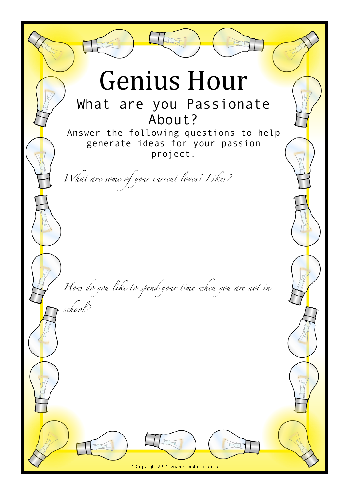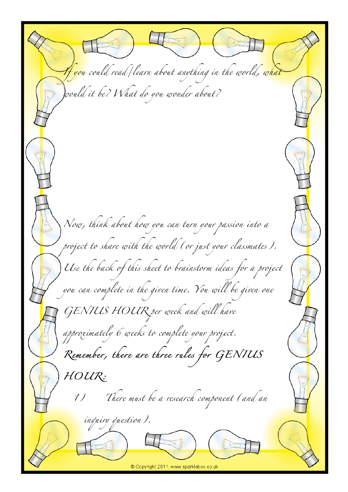*If you could read/learn about anything in the world, what would it be? What do you wonder about? Now, think about how you can turn your passion into a project to share with the world (or just your classmates). Use the back of this sheet to brainstorm ideas for a project you can complete in the given time. You will be given one GENIUS HOUR per week and will have approximately 6 weeks to complete your project. Remember, there are three rules for GENIUS HOUR: 1) There must be a research component (and an inquiry question).*© Copyright 2011, www.sparklebox.co.uk